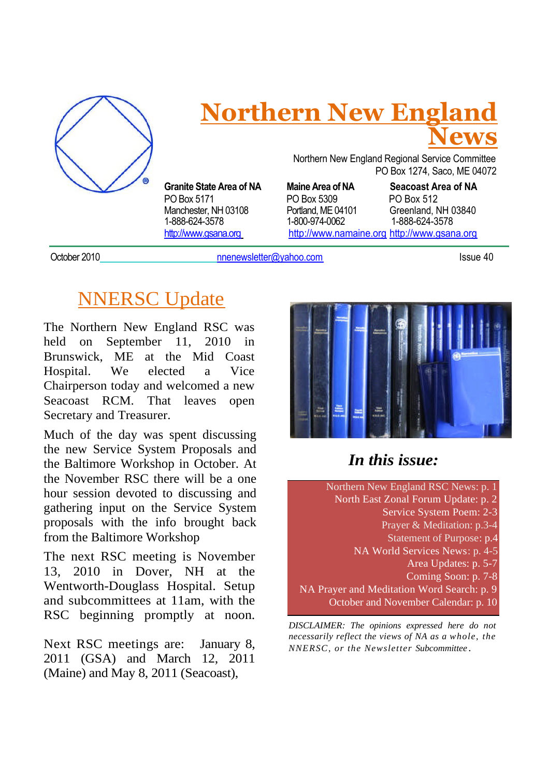

## **Northern New England News**

**Granite State Area of NA Maine Area of NA Seacoast Area of NA** 1-888-624-3578

Northern New England Regional Service Committee PO Box 1274, Saco, ME 04072

PO Box 5171 PO Box 5309 PO Box 512

Manchester, NH 03108 Portland, ME 04101 Greenland, NH 03840<br>1-888-624-3578 1-800-974-0062 1-888-624-3578 http://www.gsana.org http://www.namaine.org http://www.gsana.org

October 2010 **nnenewsletter@yahoo.com** Issue 40

## NNERSC Update

The Northern New England RSC was held on September 11, 2010 in Brunswick, ME at the Mid Coast Hospital. We elected a Vice Chairperson today and welcomed a new Seacoast RCM. That leaves open Secretary and Treasurer.

Much of the day was spent discussing the new Service System Proposals and the Baltimore Workshop in October. At the November RSC there will be a one hour session devoted to discussing and gathering input on the Service System proposals with the info brought back from the Baltimore Workshop

The next RSC meeting is November 13, 2010 in Dover, NH at the Wentworth-Douglass Hospital. Setup and subcommittees at 11am, with the RSC beginning promptly at noon.

Next RSC meetings are: January 8, 2011 (GSA) and March 12, 2011 (Maine) and May 8, 2011 (Seacoast),



### *In this issue:*

Northern New England RSC News: p. 1 North East Zonal Forum Update: p. 2 Service System Poem: 2-3 Prayer & Meditation: p.3-4 Statement of Purpose: p.4 NA World Services News: p. 4-5 Area Updates: p. 5-7 Coming Soon: p. 7-8 NA Prayer and Meditation Word Search: p. 9 October and November Calendar: p. 10

*DISCLAIMER: The opinions expressed here do not necessarily reflect the views of NA as a whole, the NNERSC, or the Newsletter Subcommittee .*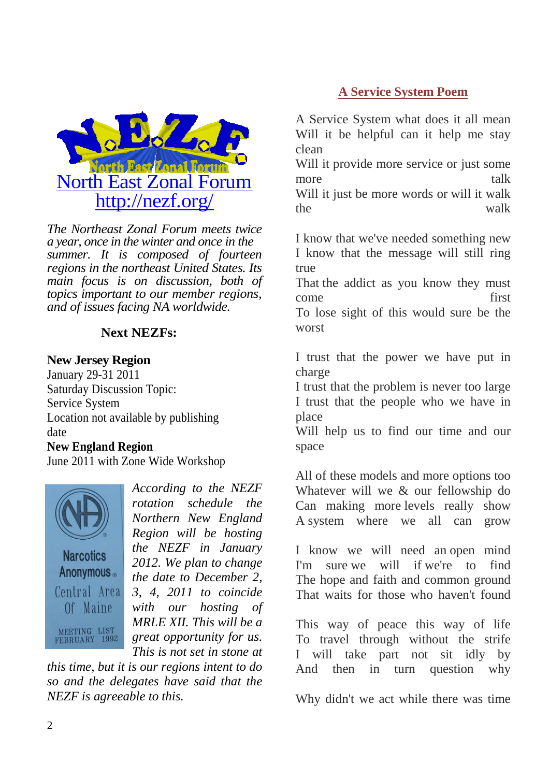

*The Northeast Zonal Forum meets twice a year, once in the winter and once in the summer. It is composed of fourteen regions in the northeast United States. Its main focus is on discussion, both of topics important to our member regions, and of issues facing NA worldwide.*

#### **Next NEZFs:**

#### **New Jersey Region**

January 29-31 2011 Saturday Discussion Topic: Service System Location not available by publishing date

#### **New England Region**

June 2011 with Zone Wide Workshop



*According to the NEZF rotation schedule the Northern New England Region will be hosting the NEZF in January 2012. We plan to change the date to December 2, 3, 4, 2011 to coincide with our hosting of MRLE XII. This will be a great opportunity for us. This is not set in stone at*

*this time, but it is our regions intent to do so and the delegates have said that the NEZF is agreeable to this.*

#### **A Service System Poem**

A Service System what does it all mean Will it be helpful can it help me stay clean

Will it provide more service or just some more talk

Will it just be more words or will it walk the walk

I know that we've needed something new I know that the message will still ring true

That the addict as you know they must come first To lose sight of this would sure be the

worst

I trust that the power we have put in charge

I trust that the problem is never too large I trust that the people who we have in place

Will help us to find our time and our space

All of these models and more options too Whatever will we & our fellowship do Can making more levels really show A system where we all can grow

I know we will need an open mind I'm sure we will if we're to find The hope and faith and common ground That waits for those who haven't found

This way of peace this way of life To travel through without the strife I will take part not sit idly by And then in turn question why

Why didn't we act while there was time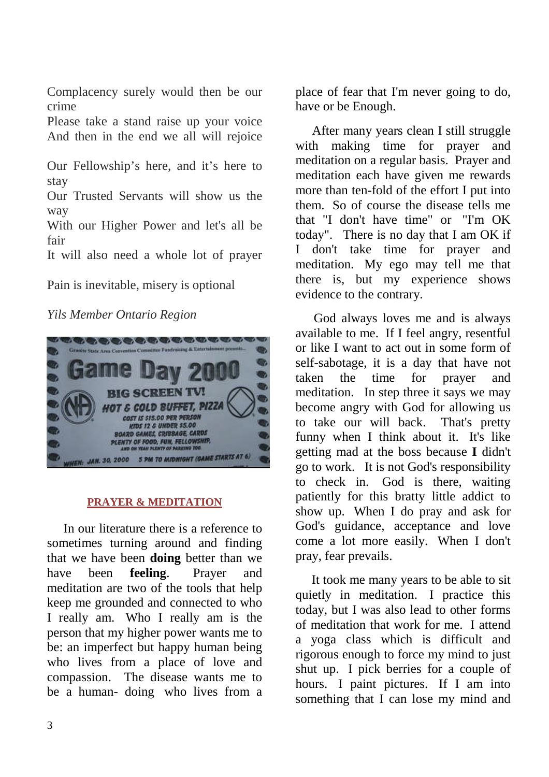Complacency surely would then be our crime

Please take a stand raise up your voice And then in the end we all will rejoice

Our Fellowship's here, and it's here to stay

Our Trusted Servants will show us the way

With our Higher Power and let's all be fair

It will also need a whole lot of prayer

Pain is inevitable, misery is optional

#### *Yils Member Ontario Region*



#### **PRAYER & MEDITATION**

In our literature there is a reference to sometimes turning around and finding that we have been **doing** better than we have been **feeling**. Prayer and meditation are two of the tools that help keep me grounded and connected to who I really am. Who I really am is the person that my higher power wants me to be: an imperfect but happy human being who lives from a place of love and compassion. The disease wants me to be a human- doing who lives from a

place of fear that I'm never going to do, have or be Enough.

After many years clean I still struggle with making time for prayer and meditation on a regular basis. Prayer and meditation each have given me rewards more than ten-fold of the effort I put into them. So of course the disease tells me that "I don't have time" or "I'm OK today". There is no day that I am OK if I don't take time for prayer and meditation. My ego may tell me that there is, but my experience shows evidence to the contrary.

God always loves me and is always available to me. If I feel angry, resentful or like I want to act out in some form of self-sabotage, it is a day that have not taken the time for prayer and meditation. In step three it says we may become angry with God for allowing us to take our will back. That's pretty funny when I think about it. It's like getting mad at the boss because **I** didn't go to work. It is not God's responsibility to check in. God is there, waiting patiently for this bratty little addict to show up. When I do pray and ask for God's guidance, acceptance and love come a lot more easily. When I don't pray, fear prevails.

It took me many years to be able to sit quietly in meditation. I practice this today, but I was also lead to other forms of meditation that work for me. I attend a yoga class which is difficult and rigorous enough to force my mind to just shut up. I pick berries for a couple of hours. I paint pictures. If I am into something that I can lose my mind and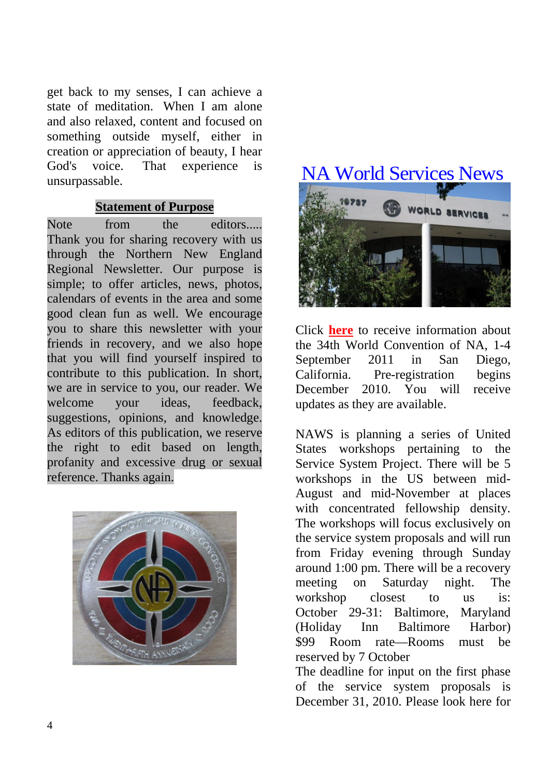get back to my senses, I can achieve a state of meditation. When I am alone and also relaxed, content and focused on something outside myself, either in creation or appreciation of beauty, I hear God's voice. That experience is unsurpassable.

#### **Statement of Purpose**

Note from the editors..... Thank you for sharing recovery with us through the Northern New England Regional Newsletter. Our purpose is simple; to offer articles, news, photos, calendars of events in the area and some good clean fun as well. We encourage you to share this newsletter with your friends in recovery, and we also hope that you will find yourself inspired to contribute to this publication. In short, we are in service to you, our reader. We welcome your ideas, feedback, suggestions, opinions, and knowledge. As editors of this publication, we reserve the right to edit based on length, profanity and excessive drug or sexual reference. Thanks again.



## NA World Services News



Click **here** to receive information about the 34th World Convention of NA, 1-4 September 2011 in San Diego, California. Pre-registration begins December 2010. You will receive updates as they are available.

NAWS is planning a series of United States workshops pertaining to the Service System Project. There will be 5 workshops in the US between mid-August and mid-November at places with concentrated fellowship density. The workshops will focus exclusively on the service system proposals and will run from Friday evening through Sunday around 1:00 pm. There will be a recovery meeting on Saturday night. The workshop closest to us is: October 29-31: Baltimore, Maryland (Holiday Inn Baltimore Harbor) \$99 Room rate—Rooms must be reserved by 7 October

The deadline for input on the first phase of the service system proposals is December 31, 2010. Please look here for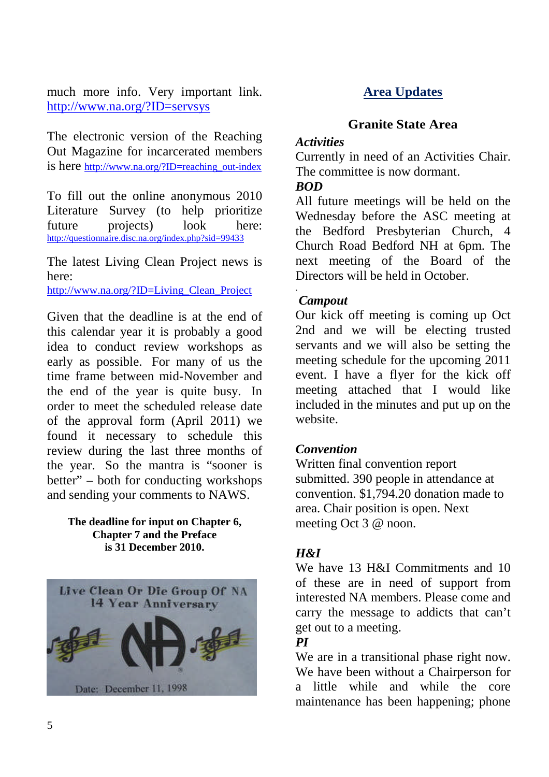much more info. Very important link. http://www.na.org/?ID=servsys

The electronic version of the Reaching Out Magazine for incarcerated members is here http://www.na.org/?ID=reaching\_out-index

To fill out the online anonymous 2010 Literature Survey (to help prioritize future projects) look here: http://questionnaire.disc.na.org/index.php?sid=99433

The latest Living Clean Project news is here:

http://www.na.org/?ID=Living\_Clean\_Project

Given that the deadline is at the end of this calendar year it is probably a good idea to conduct review workshops as early as possible. For many of us the time frame between mid-November and the end of the year is quite busy. In order to meet the scheduled release date of the approval form (April 2011) we found it necessary to schedule this review during the last three months of the year. So the mantra is "sooner is better" – both for conducting workshops and sending your comments to NAWS.

#### **The deadline for input on Chapter 6, Chapter 7 and the Preface is 31 December 2010.**



#### **Area Updates**

#### **Granite State Area**

#### *Activities*

Currently in need of an Activities Chair. The committee is now dormant.

#### *BOD*

All future meetings will be held on the Wednesday before the ASC meeting at the Bedford Presbyterian Church, 4 Church Road Bedford NH at 6pm. The next meeting of the Board of the Directors will be held in October.

#### *Campout*

.

Our kick off meeting is coming up Oct 2nd and we will be electing trusted servants and we will also be setting the meeting schedule for the upcoming 2011 event. I have a flyer for the kick off meeting attached that I would like included in the minutes and put up on the website.

#### *Convention*

Written final convention report submitted. 390 people in attendance at convention. \$1,794.20 donation made to area. Chair position is open. Next meeting Oct 3 @ noon.

#### *H&I*

We have 13 H&I Commitments and 10 of these are in need of support from interested NA members. Please come and carry the message to addicts that can't get out to a meeting.

#### *PI*

We are in a transitional phase right now. We have been without a Chairperson for a little while and while the core maintenance has been happening; phone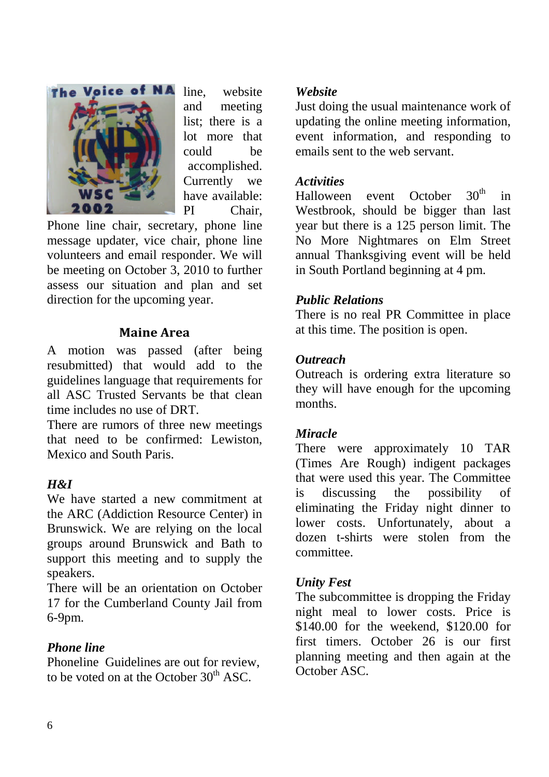

line, website and meeting list; there is a lot more that could be accomplished. Currently we have available: PI Chair,

Phone line chair, secretary, phone line message updater, vice chair, phone line volunteers and email responder. We will be meeting on October 3, 2010 to further assess our situation and plan and set direction for the upcoming year.

#### **Maine Area**

A motion was passed (after being resubmitted) that would add to the guidelines language that requirements for all ASC Trusted Servants be that clean time includes no use of DRT.

There are rumors of three new meetings that need to be confirmed: Lewiston, Mexico and South Paris.

#### *H&I*

We have started a new commitment at the ARC (Addiction Resource Center) in Brunswick. We are relying on the local groups around Brunswick and Bath to support this meeting and to supply the speakers.

There will be an orientation on October 17 for the Cumberland County Jail from 6-9pm.

#### *Phone line*

Phoneline Guidelines are out for review, to be voted on at the October  $30<sup>th</sup>$  ASC.

#### *Website*

Just doing the usual maintenance work of updating the online meeting information, event information, and responding to emails sent to the web servant.

#### *Activities*

Halloween event October  $30<sup>th</sup>$  in Westbrook, should be bigger than last year but there is a 125 person limit. The No More Nightmares on Elm Street annual Thanksgiving event will be held in South Portland beginning at 4 pm.

#### *Public Relations*

There is no real PR Committee in place at this time. The position is open.

#### *Outreach*

Outreach is ordering extra literature so they will have enough for the upcoming months.

#### *Miracle*

There were approximately 10 TAR (Times Are Rough) indigent packages that were used this year. The Committee is discussing the possibility of eliminating the Friday night dinner to lower costs. Unfortunately, about a dozen t-shirts were stolen from the committee.

#### *Unity Fest*

The subcommittee is dropping the Friday night meal to lower costs. Price is \$140.00 for the weekend, \$120.00 for first timers. October 26 is our first planning meeting and then again at the October ASC.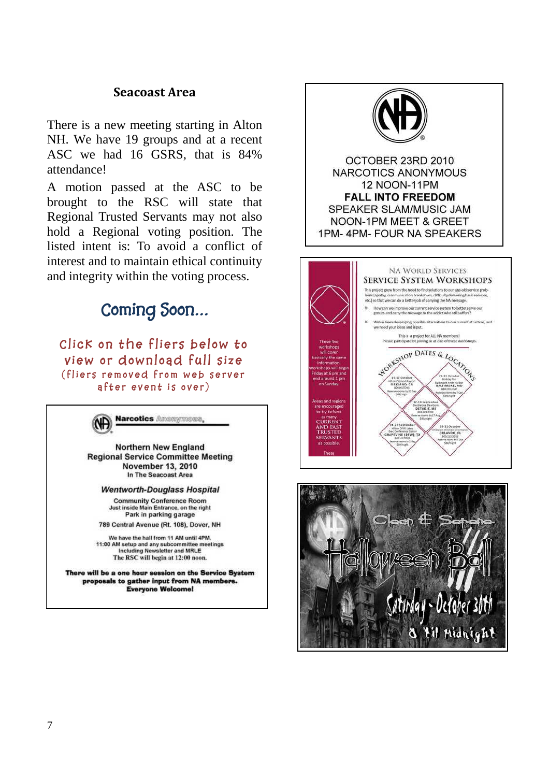#### **Seacoast Area**

There is a new meeting starting in Alton NH. We have 19 groups and at a recent ASC we had 16 GSRS, that is 84% attendance!

A motion passed at the ASC to be brought to the RSC will state that Regional Trusted Servants may not also hold a Regional voting position. The listed intent is: To avoid a conflict of interest and to maintain ethical continuity and integrity within the voting process.



**Click on the fliers below to view or download full size** (fliers removed from web server **a f t e r e v e n t i s o v e r )**



Northern New England **Regional Service Committee Meeting** November 13, 2010 In The Seacoast Area

**Wentworth-Douglass Hospital** 

**Community Conference Room** Just inside Main Entrance, on the right Park in parking garage

789 Central Avenue (Rt. 108), Dover, NH

We have the hall from 11 AM until 4PM. 11:00 AM setup and any subcommittee meetings Including Newsletter and MRLE The RSC will begin at 12:00 noon.

There will be a one hour session on the Service System proposals to gather input from NA members. **Everyone Welcome!** 



OCTOBER 23RD 2010 NARCOTICS ANONYMOUS **12 NOON-11PM FALL INTO FREEDOM** SPEAKER SLAM/MUSIC JAM NOON-1PM MEET & GREET 1PM-4PM-FOUR NA SPEAKERS



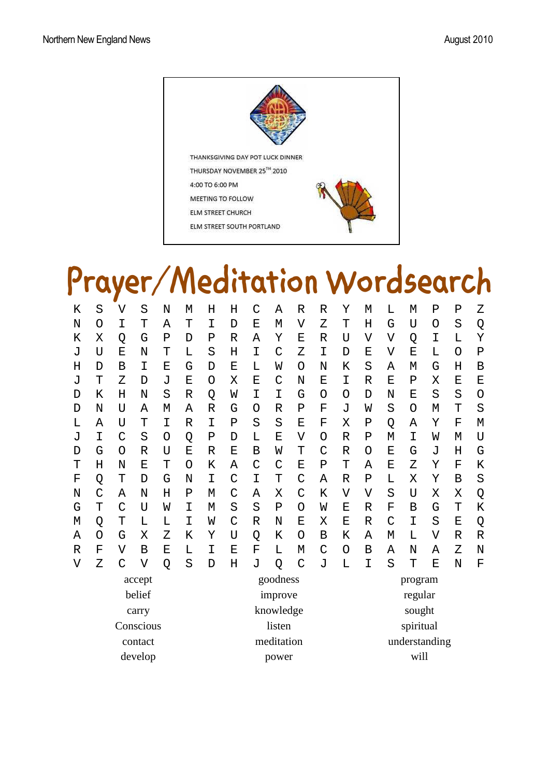

THANKSGIVING DAY POT LUCK DINNER THURSDAY NOVEMBER 25™ 2010 4:00 TO 6:00 PM MEETING TO FOLLOW ELM STREET CHURCH ELM STREET SOUTH PORTLAND



# **Prayer/Meditation Wordsearch**

| K              | S | $\overline{\mathsf{V}}$ | S | N | M           | H           | Η          | C           | Α             | R                       | $\mathbb R$    | Υ              | M            | L | $\mathbf M$ | $\mathbf P$    | $\mathbf P$ | Ζ            |
|----------------|---|-------------------------|---|---|-------------|-------------|------------|-------------|---------------|-------------------------|----------------|----------------|--------------|---|-------------|----------------|-------------|--------------|
| N              | O | I                       | Т | Α | T           | I           | D          | E           | M             | $\overline{\mathsf{V}}$ | Ζ              | T              | Η            | G | U           | O              | S           | Q            |
| К              | Χ | Q                       | G | Ρ | D           | Ρ           | R          | Α           | Υ             | Ε                       | $\mathbb R$    | U              | V            | V | Q           | I              | L           | Y            |
| J              | U | E                       | N | T | L           | S           | Η          | I           | C             | Ζ                       | I              | D              | E            | V | $\mathbf E$ | L              | O           | $\mathbf P$  |
| Η              | D | В                       | I | Ε | G           | D           | Ε          | L           | W             | O                       | N              | Κ              | S            | Α | M           | G              | Η           | B            |
| J              | T | Ζ                       | D | J | E           | O           | Χ          | Ε           | $\mathcal{C}$ | N                       | E              | I              | $\mathbb{R}$ | Ε | $\mathbf P$ | Χ              | E           | Ε            |
| D              | Κ | Н                       | N | S | $\mathbb R$ | Q           | W          | I           | I             | G                       | O              | Ο              | D            | N | E           | S              | S           | $\circ$      |
| D              | N | U                       | Α | М | Α           | $\mathbb R$ | G          | O           | $\mathbb R$   | $\mathbf P$             | $\overline{F}$ | J              | W            | S | O           | M              | T           | S            |
| L              | Α | U                       | Т | I | R           | I           | Ρ          | S           | S             | Ε                       | F              | X              | $\mathbf P$  | Q | Α           | Υ              | $\mathbf F$ | M            |
| J              | I | C                       | S | O | Q           | Ρ           | D          | L           | Ε             | $\overline{V}$          | O              | R              | $\mathbf P$  | M | I           | W              | M           | U            |
| D              | G | O                       | R | U | E           | R           | E          | В           | W             | T                       | C              | R              | O            | E | G           | J              | H           | G            |
| T              | H | N                       | E | T | O           | K           | Α          | C           | $\mathsf{C}$  | E                       | Ρ              | T              | Α            | Ε | Ζ           | Y              | F           | Κ            |
| F              | Q | T                       | D | G | N           | I           | C          | I           | T             | C                       | A              | $\mathbb R$    | $\mathbf P$  | L | X           | Υ              | $\mathbf B$ | S            |
| N              | C | Α                       | N | Η | Ρ           | М           | C          | Α           | X             | $\mathcal{C}$           | K              | $\overline{V}$ | V            | S | U           | X              | Χ           | Q            |
| G              | Т | C                       | U | W | I           | М           | S          | S           | Ρ             | O                       | W              | E              | $\mathbb{R}$ | F | B           | G              | T           | K            |
| М              | Q | T                       | L | L | I           | W           | C          | $\mathbb R$ | N             | Ε                       | X              | Ε              | $\mathbb{R}$ | C | I           | S              | Ε           | Q            |
| Α              | O | G                       | Χ | Ζ | Κ           | Υ           | U          | Q           | Κ             | O                       | В              | K              | Α            | М | L           | $\overline{V}$ | $\mathbb R$ | $\mathbb{R}$ |
| $\mathbb R$    | F | V                       | В | Ε | L           | I           | E          | F           | Г             | М                       | C              | O              | В            | Α | N           | Α              | Ζ           | N            |
| $\overline{V}$ | Ζ | C                       | V | Q | S           | D           | Η          | J           | Q             | C                       | J              | L              | I            | S | T           | $\mathbf E$    | N           | F            |
| accept         |   |                         |   |   |             | goodness    |            |             |               |                         | program        |                |              |   |             |                |             |              |
| belief         |   |                         |   |   |             | improve     |            |             |               |                         |                | regular        |              |   |             |                |             |              |
| carry          |   |                         |   |   |             |             | knowledge  |             |               |                         |                |                | sought       |   |             |                |             |              |
| Conscious      |   |                         |   |   |             |             | listen     |             |               |                         |                | spiritual      |              |   |             |                |             |              |
| contact        |   |                         |   |   |             |             | meditation |             |               |                         |                | understanding  |              |   |             |                |             |              |
|                |   |                         |   |   |             |             |            |             |               |                         |                |                |              |   |             |                |             |              |

develop power will